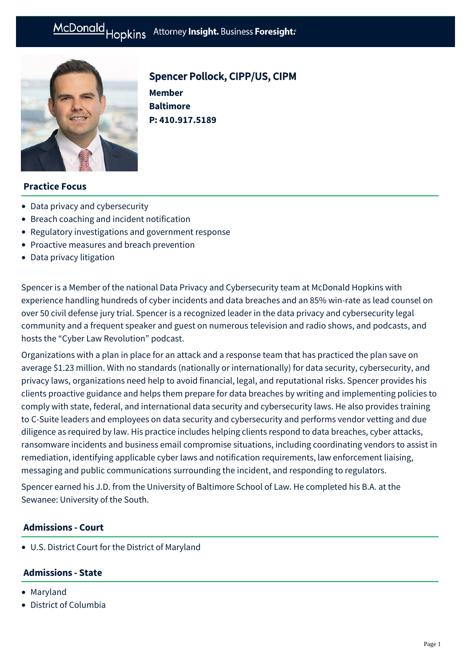

# Spencer Pollock, CIPP/US, CIPM

**Member Baltimore P: [410.917.5189](tel:410.917.5189)**

## **Practice Focus**

- [Data privacy and cybersecurity](https://mcdonaldhopkins.com/Expertise/Data-privacy-and-cybersecurity)
- [Breach coaching and incident notification](https://mcdonaldhopkins.com/Expertise/Data-privacy-and-cybersecurity/Breach-coaching-and-incident-notification)
- [Regulatory investigations and government response](https://mcdonaldhopkins.com/Expertise/Data-privacy-and-cybersecurity/Regulatory-investigations-and-government-response)
- [Proactive measures and breach prevention](https://mcdonaldhopkins.com/Expertise/Data-privacy-and-cybersecurity/Proactive-measures-and-breach-prevention)
- [Data privacy litigation](https://mcdonaldhopkins.com/Expertise/Litigation/Data-privacy-litigation)

Spencer is a Member of the national Data Privacy and Cybersecurity team at McDonald Hopkins with experience handling hundreds of cyber incidents and data breaches and an 85% win-rate as lead counsel on over 50 civil defense jury trial. Spencer is a recognized leader in the data privacy and cybersecurity legal community and a frequent speaker and guest on numerous television and radio shows, and podcasts, and hosts the "Cyber Law Revolution" podcast.

Organizations with a plan in place for an attack and a response team that has practiced the plan save on average \$1.23 million. With no standards (nationally or internationally) for data security, cybersecurity, and privacy laws, organizations need help to avoid financial, legal, and reputational risks. Spencer provides his clients proactive guidance and helps them prepare for data breaches by writing and implementing policies to comply with state, federal, and international data security and cybersecurity laws. He also provides training to C-Suite leaders and employees on data security and cybersecurity and performs vendor vetting and due diligence as required by law. His practice includes helping clients respond to data breaches, cyber attacks, ransomware incidents and business email compromise situations, including coordinating vendors to assist in remediation, identifying applicable cyber laws and notification requirements, law enforcement liaising, messaging and public communications surrounding the incident, and responding to regulators.

Spencer earned his J.D. from the University of Baltimore School of Law. He completed his B.A. at the Sewanee: University of the South.

## **Admissions - Court**

U.S. District Court for the District of Maryland

## **Admissions - State**

- Maryland
- District of Columbia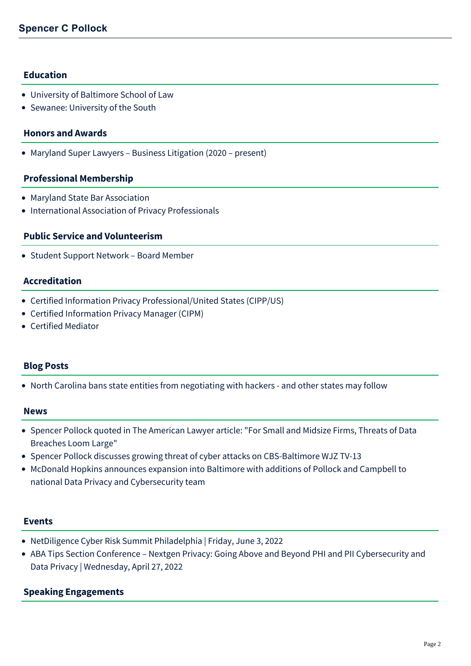## **Education**

- University of Baltimore School of Law
- Sewanee: University of the South

#### **Honors and Awards**

• Maryland Super Lawyers – Business Litigation (2020 – present)

#### **Professional Membership**

- Maryland State Bar Association
- International Association of Privacy Professionals

#### **Public Service and Volunteerism**

Student Support Network – Board Member

#### **Accreditation**

- Certified Information Privacy Professional/United States (CIPP/US)
- Certified Information Privacy Manager (CIPM)
- Certified Mediator

#### **Blog Posts**

[North Carolina bans state entities from negotiating with hackers - and other states may follow](https://mcdonaldhopkins.com/Insights/June-2022/NC-bans-negotiating-with-hackers)

#### **News**

- [Spencer Pollock quoted in The American Lawyer article: "For Small and Midsize Firms, Threats of Data](https://mcdonaldhopkins.com/Insights/May-2022/Spencer-Pollock-quoted-in-The-American-Lawyer) Breaches Loom Large"
- [Spencer Pollock discusses growing threat of cyber attacks on CBS-Baltimore WJZ TV-13](https://mcdonaldhopkins.com/Insights/April-2022/Spencer-Pollock-discusses-growing-threat-of-cyber)
- [McDonald Hopkins announces expansion into Baltimore with additions of Pollock and Campbell to](https://mcdonaldhopkins.com/Insights/April-2022/McDonald-Hopkins-expands-to-Baltimore) national Data Privacy and Cybersecurity team

#### **Events**

- [NetDiligence Cyber Risk Summit Philadelphia | Friday, June 3, 2022](https://mcdonaldhopkins.com/Events/2022/NetDiligence-Cyber-Risk-Summit-Philadelphia)
- [ABA Tips Section Conference Nextgen Privacy: Going Above and Beyond PHI and PII Cybersecurity and](https://mcdonaldhopkins.com/Events/2022/ABA-Tips-Section-Conference) Data Privacy | Wednesday, April 27, 2022

## **Speaking Engagements**